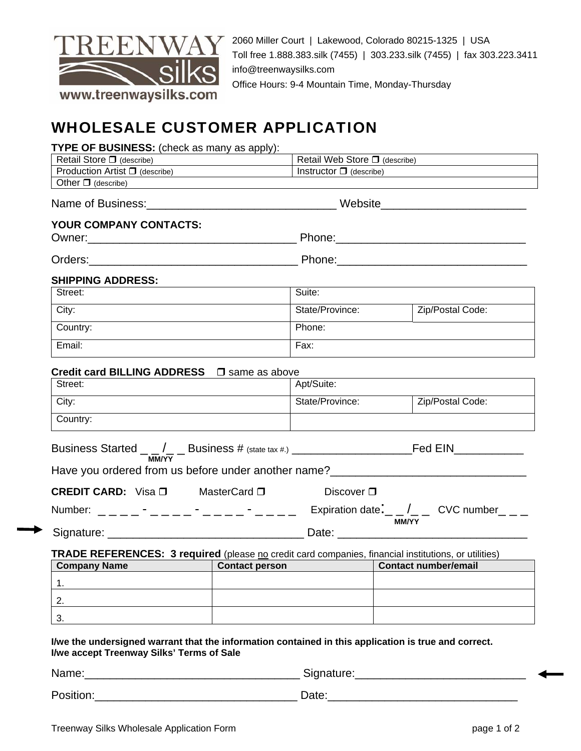

2060 Miller Court | Lakewood, Colorado 80215-1325 | USA Toll free 1.888.383.silk (7455) | 303.233.silk (7455) | fax 303.223.3411 info@treenwaysilks.com Office Hours: 9-4 Mountain Time, Monday-Thursday

# WHOLESALE CUSTOMER APPLICATION

| TYPE OF BUSINESS: (check as many as apply): |          |
|---------------------------------------------|----------|
| Ratail Stora II (describe)                  | l Retail |

| Retail Store $\square$ (describe)                     | Retail Web Store $\Box$ (describe) |
|-------------------------------------------------------|------------------------------------|
| <b>Production Artist <math>\Box</math></b> (describe) | Instructor $\Box$ (describe)       |
| Other $\Box$ (describe)                               |                                    |

Name of Business:\_\_\_\_\_\_\_\_\_\_\_\_\_\_\_\_\_\_\_\_\_\_\_\_\_\_\_\_\_\_ Website\_\_\_\_\_\_\_\_\_\_\_\_\_\_\_\_\_\_\_\_\_\_\_

### **YOUR COMPANY CONTACTS:**  Owner:\_\_\_\_\_\_\_\_\_\_\_\_\_\_\_\_\_\_\_\_\_\_\_\_\_\_\_\_\_\_\_\_\_ Phone:\_\_\_\_\_\_\_\_\_\_\_\_\_\_\_\_\_\_\_\_\_\_\_\_\_\_\_\_\_\_

|  | Owner |  |
|--|-------|--|
|  |       |  |

Orders: The contract of the contract of the Phone:  $\Box$  Phone:  $\Box$  Phone:  $\Box$ 

### **SHIPPING ADDRESS:**

| Street:  | Suite:          |                  |
|----------|-----------------|------------------|
| City:    | State/Province: | Zip/Postal Code: |
| Country: | Phone:          |                  |
| Email:   | Fax:            |                  |

## **Credit card BILLING ADDRESS**  $\Box$  same as above

| Street:  | Apt/Suite:      |                  |
|----------|-----------------|------------------|
| City:    | State/Province: | Zip/Postal Code: |
| Country: |                 |                  |

| Business Started __/__ Business # (state tax #.) _______________________________ |                                                                 |                                                        | Fed EIN |
|----------------------------------------------------------------------------------|-----------------------------------------------------------------|--------------------------------------------------------|---------|
| <b>MM/YY</b><br>Have you ordered from us before under another name?              |                                                                 |                                                        |         |
| <b>CREDIT CARD:</b> Visa □                                                       | MasterCard $\square$                                            | Discover $\square$                                     |         |
| Number:                                                                          | the contract of the contract of the contract of the contract of | Expiration date: $\angle$ / CVC number<br><b>MM/YY</b> |         |

Signature: etc. and the state of the Date:  $\Box$ 

**TRADE REFERENCES: 3 required** (please no credit card companies, financial institutions, or utilities)

| <b>Company Name</b> | <b>Contact person</b> | <b>Contact number/email</b> |
|---------------------|-----------------------|-----------------------------|
|                     |                       |                             |
|                     |                       |                             |
| J.                  |                       |                             |

#### **I/we the undersigned warrant that the information contained in this application is true and correct. I/we accept Treenway Silks' Terms of Sale**

Name:\_\_\_\_\_\_\_\_\_\_\_\_\_\_\_\_\_\_\_\_\_\_\_\_\_\_\_\_\_\_\_\_\_\_ Signature:\_\_\_\_\_\_\_\_\_\_\_\_\_\_\_\_\_\_\_\_\_\_\_\_\_\_\_

Position: example of the set of the set of the Date:  $\Box$  Date: